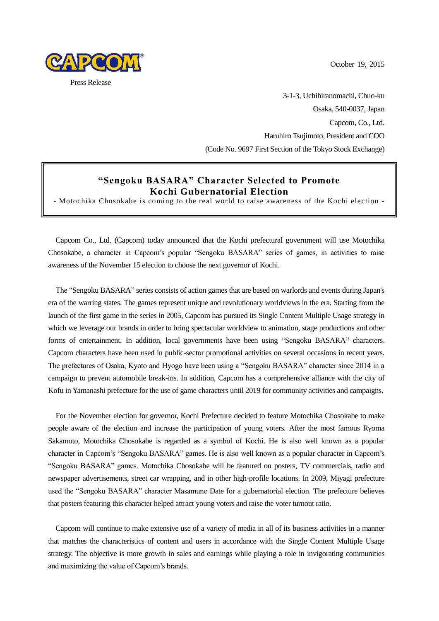October 19, 2015



3-1-3, Uchihiranomachi, Chuo-ku Osaka, 540-0037, Japan Capcom, Co., Ltd. Haruhiro Tsujimoto, President and COO (Code No. 9697 First Section of the Tokyo Stock Exchange)

### **"Sengoku BASARA" Character Selected to Promote Kochi Gubernatorial Election**

- Motochika Chosokabe is coming to the real world to raise awareness of the Kochi election -

Capcom Co., Ltd. (Capcom) today announced that the Kochi prefectural government will use Motochika Chosokabe, a character in Capcom's popular "Sengoku BASARA" series of games, in activities to raise awareness of the November 15 election to choose the next governor of Kochi.

The "Sengoku BASARA" series consists of action games that are based on warlords and events during Japan's era of the warring states. The games represent unique and revolutionary worldviews in the era. Starting from the launch of the first game in the series in 2005, Capcom has pursued its Single Content Multiple Usage strategy in which we leverage our brands in order to bring spectacular worldview to animation, stage productions and other forms of entertainment. In addition, local governments have been using "Sengoku BASARA" characters. Capcom characters have been used in public-sector promotional activities on several occasions in recent years. The prefectures of Osaka, Kyoto and Hyogo have been using a "Sengoku BASARA" character since 2014 in a campaign to prevent automobile break-ins. In addition, Capcom has a comprehensive alliance with the city of Kofu in Yamanashi prefecture for the use of game characters until 2019 for community activities and campaigns.

For the November election for governor, Kochi Prefecture decided to feature Motochika Chosokabe to make people aware of the election and increase the participation of young voters. After the most famous Ryoma Sakamoto, Motochika Chosokabe is regarded as a symbol of Kochi. He is also well known as a popular character in Capcom's "Sengoku BASARA" games. He is also well known as a popular character in Capcom's "Sengoku BASARA" games. Motochika Chosokabe will be featured on posters, TV commercials, radio and newspaper advertisements, street car wrapping, and in other high-profile locations. In 2009, Miyagi prefecture used the "Sengoku BASARA" character Masamune Date for a gubernatorial election. The prefecture believes that posters featuring this character helped attract young voters and raise the voter turnout ratio.

Capcom will continue to make extensive use of a variety of media in all of its business activities in a manner that matches the characteristics of content and users in accordance with the Single Content Multiple Usage strategy. The objective is more growth in sales and earnings while playing a role in invigorating communities and maximizing the value of Capcom's brands.